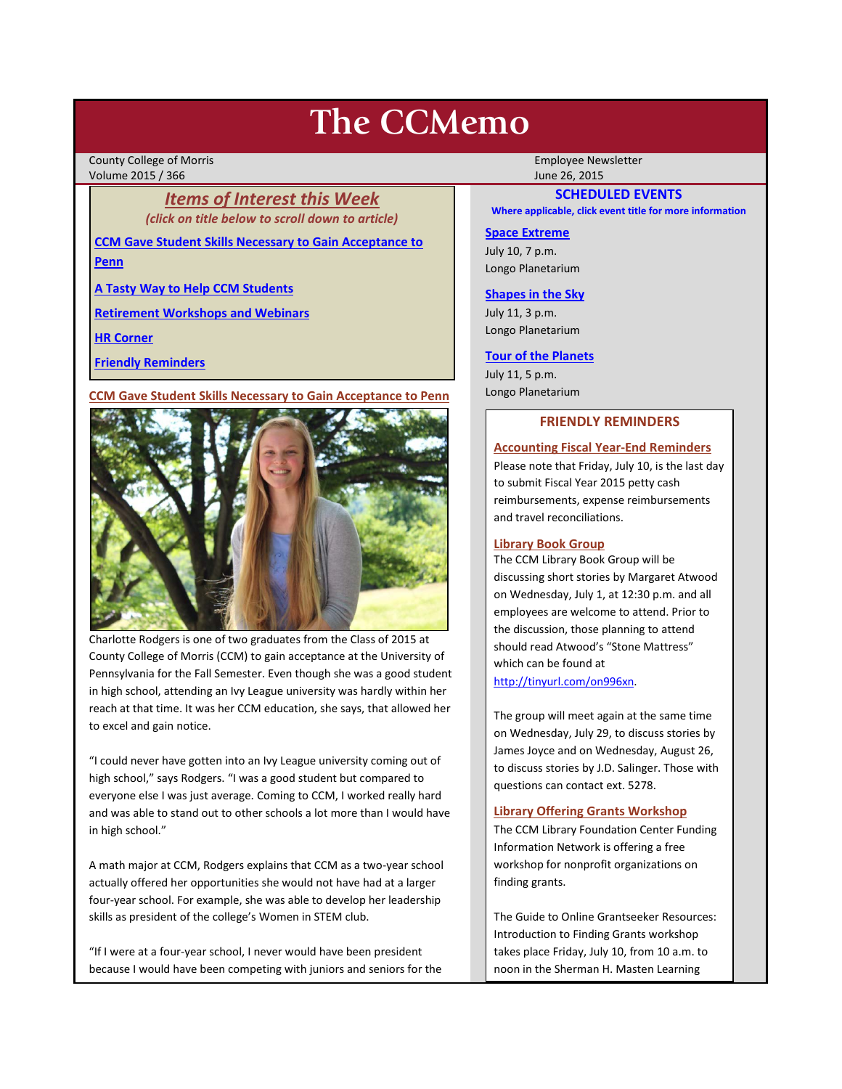# **The CCMemo**

County College of Morris **Employee Newsletter** Employee Newsletter Employee Newsletter Volume 2015 / 366 June 26, 2015

> *Items of Interest this Week (click on title below to scroll down to article)*

**[CCM Gave Student Skills Necessary to Gain Acceptance to](#page-0-0)  [Penn](#page-0-0)**

**[A Tasty Way to Help CCM Students](#page-1-0)**

**[Retirement Workshops and Webinars](#page-1-1)**

**[HR Corner](#page-1-2)**

**[Friendly Reminders](#page-0-1)**

<span id="page-0-0"></span>**CCM Gave Student Skills Necessary to Gain Acceptance to Penn**



Charlotte Rodgers is one of two graduates from the Class of 2015 at County College of Morris (CCM) to gain acceptance at the University of Pennsylvania for the Fall Semester. Even though she was a good student in high school, attending an Ivy League university was hardly within her reach at that time. It was her CCM education, she says, that allowed her to excel and gain notice.

"I could never have gotten into an Ivy League university coming out of high school," says Rodgers. "I was a good student but compared to everyone else I was just average. Coming to CCM, I worked really hard and was able to stand out to other schools a lot more than I would have in high school."

A math major at CCM, Rodgers explains that CCM as a two-year school actually offered her opportunities she would not have had at a larger four-year school. For example, she was able to develop her leadership skills as president of the college's Women in STEM club.

"If I were at a four-year school, I never would have been president because I would have been competing with juniors and seniors for the

# **SCHEDULED EVENTS**

**Where applicable, click event title for more information**

#### **[Space Extreme](http://www.ccm.edu/newsEvents/eventDetails.aspx?Channel=/Channels/Sitewide&WorkflowItemID=1874a4b0-0bcb-4ed1-a29e-7b4f8d25e45d)**

July 10, 7 p.m. Longo Planetarium

## **[Shapes in the Sky](http://www.ccm.edu/newsEvents/eventDetails.aspx?Channel=/Channels/Sitewide&WorkflowItemID=1922c928-86d3-4e75-b6a2-fd618033989c)**

July 11, 3 p.m. Longo Planetarium

#### **[Tour of the Planets](http://www.ccm.edu/newsEvents/eventDetails.aspx?Channel=/Channels/Sitewide&WorkflowItemID=5834aa20-68ba-4fa2-a3ac-75b2311ba441)**

July 11, 5 p.m. Longo Planetarium

# **FRIENDLY REMINDERS**

## <span id="page-0-1"></span>**Accounting Fiscal Year-End Reminders**

Please note that Friday, July 10, is the last day to submit Fiscal Year 2015 petty cash reimbursements, expense reimbursements and travel reconciliations.

## **Library Book Group**

The CCM Library Book Group will be discussing short stories by Margaret Atwood on Wednesday, July 1, at 12:30 p.m. and all employees are welcome to attend. Prior to the discussion, those planning to attend should read Atwood's "Stone Mattress" which can be found at [http://tinyurl.com/on996xn.](http://tinyurl.com/on996xn)

The group will meet again at the same time on Wednesday, July 29, to discuss stories by James Joyce and on Wednesday, August 26, to discuss stories by J.D. Salinger. Those with questions can contact ext. 5278.

#### **Library Offering Grants Workshop**

The CCM Library Foundation Center Funding Information Network is offering a free workshop for nonprofit organizations on finding grants.

The Guide to Online Grantseeker Resources: Introduction to Finding Grants workshop takes place Friday, July 10, from 10 a.m. to noon in the Sherman H. Masten Learning